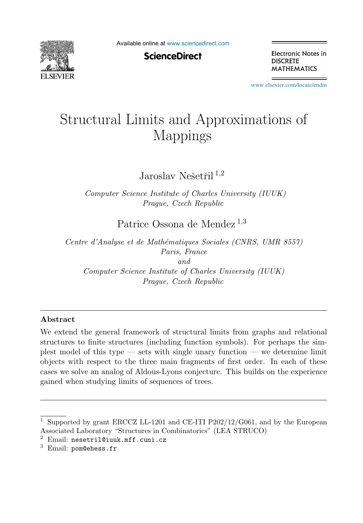

Available online at [www.sciencedirect.com](http://www.sciencedirect.com)

**ScienceDirect** 

Electronic Notes in **DISCRETE MATHEMATICS** 

[www.elsevier.com/locate/endm](http://www.elsevier.com/locate/endm)

# Structural Limits and Approximations of **Mappings**

Jaroslav Nešetřil  $^{1,2}$ 

*Computer Science Institute of Charles University (IUUK) Prague, Czech Republic*

Patrice Ossona de Mendez<sup>1,3</sup>

*Centre d'Analyse et de Math´ematiques Sociales (CNRS, UMR 8557) Paris, France and Computer Science Institute of Charles University (IUUK) Prague, Czech Republic*

#### **Abstract**

We extend the general framework of structural limits from graphs and relational structures to finite structures (including function symbols). For perhaps the simplest model of this type — sets with single unary function — we determine limit objects with respect to the three main fragments of first order. In each of these cases we solve an analog of Aldous-Lyons conjecture. This builds on the experience gained when studying limits of sequences of trees.

<sup>1</sup> Supported by grant ERCCZ LL-1201 and CE-ITI P202/12/G061, and by the European Associated Laboratory "Structures in Combinatorics" (LEA STRUCO)

 $2$  Email: nesetril@iuuk.mff.cuni.cz

 $3$  Email: pom@ehess.fr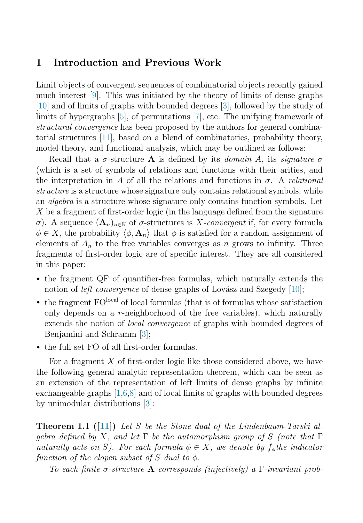# **1 Introduction and Previous Work**

Limit objects of convergent sequences of combinatorial objects recently gained much interest [\[9\]](#page-8-0). This was initiated by the theory of limits of dense graphs [\[10\]](#page-8-0) and of limits of graphs with bounded degrees [\[3\]](#page-7-0), followed by the study of limits of hypergraphs [\[5\]](#page-7-0), of permutations [\[7\]](#page-7-0), etc. The unifying framework of structural convergence has been proposed by the authors for general combinatorial structures [\[11\]](#page-8-0), based on a blend of combinatorics, probability theory, model theory, and functional analysis, which may be outlined as follows:

Recall that a  $\sigma$ -structure **A** is defined by its *domain A*, its *signature*  $\sigma$ (which is a set of symbols of relations and functions with their arities, and the interpretation in A of all the relations and functions in  $\sigma$ . A relational structure is a structure whose signature only contains relational symbols, while an *algebra* is a structure whose signature only contains function symbols. Let X be a fragment of first-order logic (in the language defined from the signature  $σ)$ . A sequence  $(**A**<sub>n</sub>)<sub>n∈N</sub>$  of  $σ$ -structures is *X*-convergent if, for every formula  $\phi \in X$ , the probability  $\langle \phi, \mathbf{A}_n \rangle$  that  $\phi$  is satisfied for a random assignment of elements of  $A_n$  to the free variables converges as n grows to infinity. Three fragments of first-order logic are of specific interest. They are all considered in this paper:

- the fragment QF of quantifier-free formulas, which naturally extends the notion of *left convergence* of dense graphs of Lovász and Szegedy  $[10]$ ;
- the fragment  $FO<sup>local</sup>$  of local formulas (that is of formulas whose satisfaction only depends on a  $r$ -neighborhood of the free variables), which naturally extends the notion of *local convergence* of graphs with bounded degrees of Benjamini and Schramm [\[3\]](#page-7-0);
- the full set FO of all first-order formulas.

For a fragment  $X$  of first-order logic like those considered above, we have the following general analytic representation theorem, which can be seen as an extension of the representation of left limits of dense graphs by infinite exchangeable graphs  $[1,6,8]$  and of local limits of graphs with bounded degrees by unimodular distributions [\[3\]](#page-7-0):

**Theorem 1.1 ([\[11\]](#page-8-0))** Let S be the Stone dual of the Lindenbaum-Tarski algebra defined by X, and let  $\Gamma$  be the automorphism group of S (note that  $\Gamma$ naturally acts on S). For each formula  $\phi \in X$ , we denote by  $f_{\phi}$ the indicator function of the clopen subset of S dual to  $\phi$ .

To each finite σ-structure **A** corresponds (injectively) a Γ-invariant prob-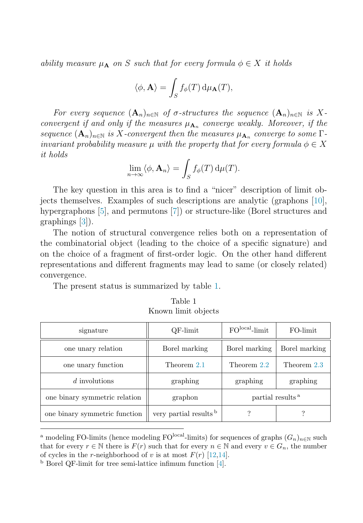ability measure  $\mu_A$  on S such that for every formula  $\phi \in X$  it holds

$$
\langle \phi, \mathbf{A} \rangle = \int_{S} f_{\phi}(T) \, \mathrm{d}\mu_{\mathbf{A}}(T),
$$

For every sequence  $(A_n)_{n\in\mathbb{N}}$  of  $\sigma$ -structures the sequence  $(A_n)_{n\in\mathbb{N}}$  is Xconvergent if and only if the measures  $\mu_{A_n}$  converge weakly. Moreover, if the sequence  $(\mathbf{A}_n)_{n\in\mathbb{N}}$  is X-convergent then the measures  $\mu_{\mathbf{A}_n}$  converge to some  $\Gamma$ invariant probability measure μ with the property that for every formula  $\phi \in X$ it holds

$$
\lim_{n\to\infty}\langle\phi,\mathbf A_n\rangle=\int_Sf_\phi(T)\,\mathrm d\mu(T).
$$

The key question in this area is to find a "nicer" description of limit objects themselves. Examples of such descriptions are analytic (graphons [\[10\]](#page-8-0), hypergraphons [\[5\]](#page-7-0), and permutons [\[7\]](#page-7-0)) or structure-like (Borel structures and graphings [\[3\]](#page-7-0)).

The notion of structural convergence relies both on a representation of the combinatorial object (leading to the choice of a specific signature) and on the choice of a fragment of first-order logic. On the other hand different representations and different fragments may lead to same (or closely related) convergence.

The present status is summarized by table 1.

| Table 1 |  |                     |  |  |
|---------|--|---------------------|--|--|
|         |  | Known limit objects |  |  |

| signature                     | QF-limit               | $FOlocal$ -limit             | FO-limit      |
|-------------------------------|------------------------|------------------------------|---------------|
| one unary relation            | Borel marking          | Borel marking                | Borel marking |
| one unary function            | Theorem 2.1            | Theorem 2.2                  | Theorem 2.3   |
| $d$ involutions               | graphing               | graphing                     | graphing      |
| one binary symmetric relation | graphon                | partial results <sup>a</sup> |               |
| one binary symmetric function | very partial results b |                              |               |

<sup>&</sup>lt;sup>a</sup> modeling FO-limits (hence modeling FO<sup>local</sup>-limits) for sequences of graphs  $(G_n)_{n\in\mathbb{N}}$  such that for every  $r \in \mathbb{N}$  there is  $F(r)$  such that for every  $n \in \mathbb{N}$  and every  $v \in G_n$ , the number of cycles in the r-neighborhood of v is at most  $F(r)$  [\[12,14\]](#page-8-0).

<sup>b</sup> Borel QF-limit for tree semi-lattice infimum function [\[4\]](#page-7-0).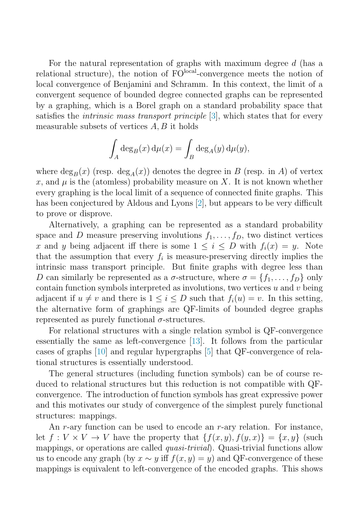For the natural representation of graphs with maximum degree d (has a relational structure), the notion of  $FO<sup>local</sup>$ -convergence meets the notion of local convergence of Benjamini and Schramm. In this context, the limit of a convergent sequence of bounded degree connected graphs can be represented by a graphing, which is a Borel graph on a standard probability space that satisfies the *intrinsic mass transport principle*  $[3]$ , which states that for every measurable subsets of vertices  $A, B$  it holds

$$
\int_A \deg_B(x) \, d\mu(x) = \int_B \deg_A(y) \, d\mu(y),
$$

where  $\deg_B(x)$  (resp.  $\deg_A(x)$ ) denotes the degree in B (resp. in A) of vertex x, and  $\mu$  is the (atomless) probability measure on X. It is not known whether every graphing is the local limit of a sequence of connected finite graphs. This has been conjectured by Aldous and Lyons [\[2\]](#page-7-0), but appears to be very difficult to prove or disprove.

Alternatively, a graphing can be represented as a standard probability space and D measure preserving involutions  $f_1, \ldots, f_D$ , two distinct vertices x and y being adjacent iff there is some  $1 \leq i \leq D$  with  $f_i(x) = y$ . Note that the assumption that every  $f_i$  is measure-preserving directly implies the intrinsic mass transport principle. But finite graphs with degree less than D can similarly be represented as a  $\sigma$ -structure, where  $\sigma = \{f_1, \ldots, f_D\}$  only contain function symbols interpreted as involutions, two vertices  $u$  and  $v$  being adjacent if  $u \neq v$  and there is  $1 \leq i \leq D$  such that  $f_i(u) = v$ . In this setting, the alternative form of graphings are QF-limits of bounded degree graphs represented as purely functional  $\sigma$ -structures.

For relational structures with a single relation symbol is QF-convergence essentially the same as left-convergence [\[13\]](#page-8-0). It follows from the particular cases of graphs [\[10\]](#page-8-0) and regular hypergraphs [\[5\]](#page-7-0) that QF-convergence of relational structures is essentially understood.

The general structures (including function symbols) can be of course reduced to relational structures but this reduction is not compatible with QFconvergence. The introduction of function symbols has great expressive power and this motivates our study of convergence of the simplest purely functional structures: mappings.

An  $r$ -ary function can be used to encode an  $r$ -ary relation. For instance, let  $f: V \times V \to V$  have the property that  $\{f(x, y), f(y, x)\} = \{x, y\}$  (such mappings, or operations are called *quasi-trivial*). Quasi-trivial functions allow us to encode any graph (by  $x \sim y$  iff  $f(x, y) = y$ ) and QF-convergence of these mappings is equivalent to left-convergence of the encoded graphs. This shows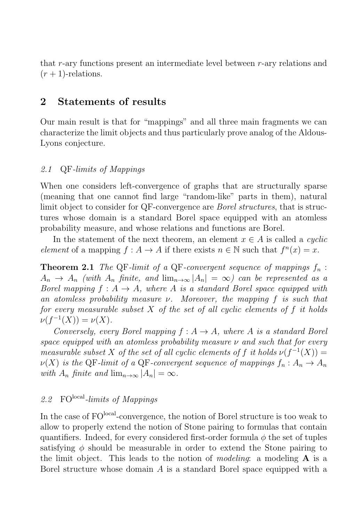<span id="page-4-0"></span>that r-ary functions present an intermediate level between r-ary relations and  $(r+1)$ -relations.

# **2 Statements of results**

Our main result is that for "mappings" and all three main fragments we can characterize the limit objects and thus particularly prove analog of the Aldous-Lyons conjecture.

#### 2.1 QF-limits of Mappings

When one considers left-convergence of graphs that are structurally sparse (meaning that one cannot find large "random-like" parts in them), natural limit object to consider for QF-convergence are *Borel structures*, that is structures whose domain is a standard Borel space equipped with an atomless probability measure, and whose relations and functions are Borel.

In the statement of the next theorem, an element  $x \in A$  is called a *cyclic* element of a mapping  $f : A \to A$  if there exists  $n \in \mathbb{N}$  such that  $f^{n}(x) = x$ .

**Theorem 2.1** The QF-limit of a QF-convergent sequence of mappings  $f_n$ :  $A_n \to A_n$  (with  $A_n$  finite, and  $\lim_{n\to\infty} |A_n| = \infty$ ) can be represented as a Borel mapping  $f : A \rightarrow A$ , where A is a standard Borel space equipped with an atomless probability measure  $\nu$ . Moreover, the mapping f is such that for every measurable subset  $X$  of the set of all cyclic elements of f it holds  $\nu(f^{-1}(X)) = \nu(X).$ 

Conversely, every Borel mapping  $f : A \rightarrow A$ , where A is a standard Borel space equipped with an atomless probability measure  $\nu$  and such that for every measurable subset X of the set of all cyclic elements of f it holds  $\nu(f^{-1}(X)) =$  $\nu(X)$  is the QF-limit of a QF-convergent sequence of mappings  $f_n: A_n \to A_n$ with  $A_n$  finite and  $\lim_{n\to\infty} |A_n| = \infty$ .

# 2.2  $\mathrm{FO}^{\mathrm{local}}\text{-}limits$  of Mappings

In the case of FO<sup>local</sup>-convergence, the notion of Borel structure is too weak to allow to properly extend the notion of Stone pairing to formulas that contain quantifiers. Indeed, for every considered first-order formula  $\phi$  the set of tuples satisfying  $\phi$  should be measurable in order to extend the Stone pairing to the limit object. This leads to the notion of modeling: a modeling **A** is a Borel structure whose domain A is a standard Borel space equipped with a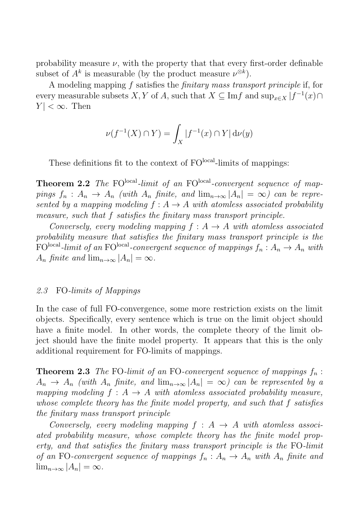<span id="page-5-0"></span>probability measure  $\nu$ , with the property that that every first-order definable subset of  $A^k$  is measurable (by the product measure  $\nu^{\otimes k}$ ).

A modeling mapping f satisfies the finitary mass transport principle if, for every measurable subsets X, Y of A, such that  $X \subseteq \text{Im} f$  and  $\sup_{x \in X} |f^{-1}(x)|$  $|Y| < \infty$ . Then

$$
\nu(f^{-1}(X) \cap Y) = \int_X |f^{-1}(x) \cap Y| \, d\nu(y)
$$

These definitions fit to the context of FO<sup>local</sup>-limits of mappings:

**Theorem 2.2** The FO<sup>local</sup>-limit of an FO<sup>local</sup>-convergent sequence of mappings  $f_n$ :  $A_n \to A_n$  (with  $A_n$  finite, and  $\lim_{n\to\infty} |A_n| = \infty$ ) can be represented by a mapping modeling  $f : A \rightarrow A$  with atomless associated probability measure, such that f satisfies the finitary mass transport principle.

Conversely, every modeling mapping  $f : A \rightarrow A$  with atomless associated probability measure that satisfies the finitary mass transport principle is the  $FO<sup>local</sup>$ -limit of an FO<sup>local</sup>-convergent sequence of mappings  $f_n: A_n \to A_n$  with  $A_n$  finite and  $\lim_{n\to\infty} |A_n| = \infty$ .

#### 2.3 FO-limits of Mappings

In the case of full FO-convergence, some more restriction exists on the limit objects. Specifically, every sentence which is true on the limit object should have a finite model. In other words, the complete theory of the limit object should have the finite model property. It appears that this is the only additional requirement for FO-limits of mappings.

**Theorem 2.3** The FO-limit of an FO-convergent sequence of mappings  $f_n$ :  $A_n \to A_n$  (with  $A_n$  finite, and  $\lim_{n\to\infty} |A_n| = \infty$ ) can be represented by a mapping modeling  $f : A \rightarrow A$  with atomless associated probability measure, whose complete theory has the finite model property, and such that f satisfies the finitary mass transport principle

Conversely, every modeling mapping  $f : A \rightarrow A$  with atomless associated probability measure, whose complete theory has the finite model property, and that satisfies the finitary mass transport principle is the FO-limit of an FO-convergent sequence of mappings  $f_n: A_n \to A_n$  with  $A_n$  finite and  $\lim_{n\to\infty} |A_n| = \infty.$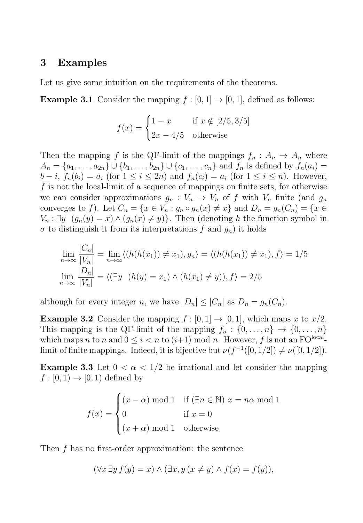## **3 Examples**

Let us give some intuition on the requirements of the theorems.

**Example 3.1** Consider the mapping  $f : [0, 1] \rightarrow [0, 1]$ , defined as follows:

$$
f(x) = \begin{cases} 1 - x & \text{if } x \notin [2/5, 3/5] \\ 2x - 4/5 & \text{otherwise} \end{cases}
$$

Then the mapping f is the QF-limit of the mappings  $f_n: A_n \to A_n$  where  $A_n = \{a_1, \ldots, a_{2n}\} \cup \{b_1, \ldots, b_{2n}\} \cup \{c_1, \ldots, c_n\}$  and  $f_n$  is defined by  $f_n(a_i) =$  $b - i$ ,  $f_n(b_i) = a_i$  (for  $1 \le i \le 2n$ ) and  $f_n(c_i) = a_i$  (for  $1 \le i \le n$ ). However, f is not the local-limit of a sequence of mappings on finite sets, for otherwise we can consider approximations  $g_n: V_n \to V_n$  of f with  $V_n$  finite (and  $g_n$ ) converges to f). Let  $C_n = \{x \in V_n : g_n \circ g_n(x) \neq x\}$  and  $D_n = g_n(C_n) = \{x \in V_n : g_n \circ g_n(x) \neq x\}$  $V_n : \exists y \ (g_n(y) = x) \wedge (g_n(x) \neq y)$ . Then (denoting h the function symbol in  $\sigma$  to distinguish it from its interpretations f and  $g_n$ ) it holds

$$
\lim_{n \to \infty} \frac{|C_n|}{|V_n|} = \lim_{n \to \infty} \langle (h(h(x_1)) \neq x_1), g_n \rangle = \langle (h(h(x_1)) \neq x_1), f \rangle = 1/5
$$
  

$$
\lim_{n \to \infty} \frac{|D_n|}{|V_n|} = \langle (\exists y \ (h(y) = x_1) \land (h(x_1) \neq y)), f \rangle = 2/5
$$

although for every integer n, we have  $|D_n| \leq |C_n|$  as  $D_n = g_n(C_n)$ .

**Example 3.2** Consider the mapping  $f : [0, 1] \rightarrow [0, 1]$ , which maps x to  $x/2$ . This mapping is the QF-limit of the mapping  $f_n: \{0, \ldots, n\} \rightarrow \{0, \ldots, n\}$ which maps n to n and  $0 \leq i < n$  to  $(i+1)$  mod n. However, f is not an FO<sup>local</sup>limit of finite mappings. Indeed, it is bijective but  $\nu(f^{-1}([0, 1/2]) \neq \nu([0, 1/2])$ .

**Example 3.3** Let  $0 < \alpha < 1/2$  be irrational and let consider the mapping  $f : [0, 1) \rightarrow [0, 1)$  defined by

$$
f(x) = \begin{cases} (x - \alpha) \bmod 1 & \text{if } (\exists n \in \mathbb{N}) \ x = n\alpha \bmod 1 \\ 0 & \text{if } x = 0 \\ (x + \alpha) \bmod 1 & \text{otherwise} \end{cases}
$$

Then f has no first-order approximation: the sentence

$$
(\forall x \exists y \, f(y) = x) \land (\exists x, y \, (x \neq y) \land f(x) = f(y)),
$$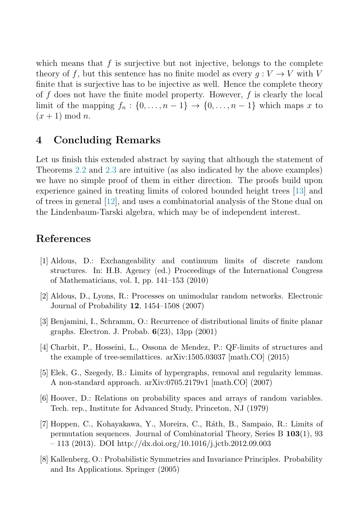<span id="page-7-0"></span>which means that  $f$  is surjective but not injective, belongs to the complete theory of f, but this sentence has no finite model as every  $q: V \to V$  with V finite that is surjective has to be injective as well. Hence the complete theory of  $f$  does not have the finite model property. However,  $f$  is clearly the local limit of the mapping  $f_n : \{0, \ldots, n-1\} \to \{0, \ldots, n-1\}$  which maps x to  $(x+1) \mod n$ .

# **4 Concluding Remarks**

Let us finish this extended abstract by saying that although the statement of Theorems [2.2](#page-5-0) and [2.3](#page-5-0) are intuitive (as also indicated by the above examples) we have no simple proof of them in either direction. The proofs build upon experience gained in treating limits of colored bounded height trees [\[13\]](#page-8-0) and of trees in general [\[12\]](#page-8-0), and uses a combinatorial analysis of the Stone dual on the Lindenbaum-Tarski algebra, which may be of independent interest.

# **References**

- [1] Aldous, D.: Exchangeability and continuum limits of discrete random structures. In: H.B. Agency (ed.) Proceedings of the International Congress of Mathematicians, vol. I, pp. 141–153 (2010)
- [2] Aldous, D., Lyons, R.: Processes on unimodular random networks. Electronic Journal of Probability **12**, 1454–1508 (2007)
- [3] Benjamini, I., Schramm, O.: Recurrence of distributional limits of finite planar graphs. Electron. J. Probab. **6**(23), 13pp (2001)
- [4] Charbit, P., Hosseini, L., Ossona de Mendez, P.: QF-limits of structures and the example of tree-semilattices. arXiv:1505.03037 [math.CO] (2015)
- [5] Elek, G., Szegedy, B.: Limits of hypergraphs, removal and regularity lemmas. A non-standard approach. arXiv:0705.2179v1 [math.CO] (2007)
- [6] Hoover, D.: Relations on probability spaces and arrays of random variables. Tech. rep., Institute for Advanced Study, Princeton, NJ (1979)
- [7] Hoppen, C., Kohayakawa, Y., Moreira, C., R´ath, B., Sampaio, R.: Limits of permutation sequences. Journal of Combinatorial Theory, Series B **103**(1), 93 – 113 (2013). DOI http://dx.doi.org/10.1016/j.jctb.2012.09.003
- [8] Kallenberg, O.: Probabilistic Symmetries and Invariance Principles. Probability and Its Applications. Springer (2005)